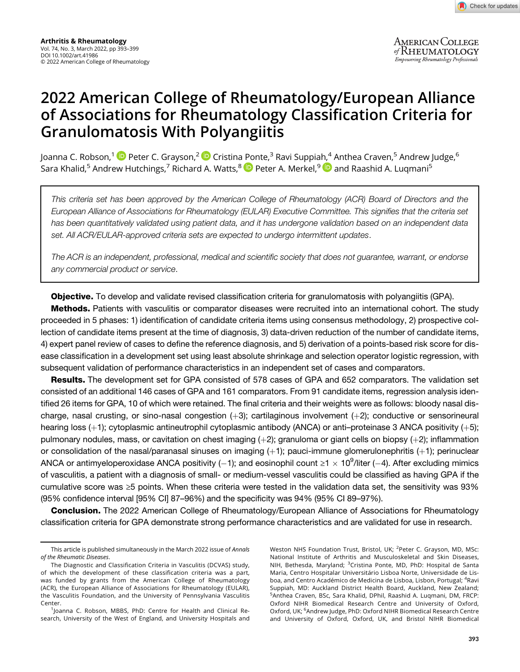AMERICAN COLLEGE<br>of RHEUMATOLOGY Empowering Rheumatology Professionals

# of Associations for Rheumatology Classification Criteria for<br>Granulomatosis With Polyangiitis Granulom[at](https://orcid.org/0000-0002-7939-5978)osis With [Po](https://orcid.org/0000-0002-8269-9438)lyangiitis

Joanna C. Robson,<sup>1 (D</sup> Peter C. Grayson,<sup>2 (D</sup> Cristina [Po](https://orcid.org/0000-0002-2846-4769)nte,<sup>3</sup> Ravi Suppia[h,](https://orcid.org/0000-0001-9284-7345)<sup>4</sup> Anthea Craven,<sup>5</sup> Andrew Judge,<sup>6</sup> Sara Khalid,<sup>5</sup> Andrew Hutchings,<sup>7</sup> Richard A. Watts,<sup>8</sup> Peter A. Merkel,<sup>9</sup> Pand Raashid A. Luqmani<sup>5</sup>

This criteria set has been approved by the American College of Rheumatology (ACR) Board of Directors and the European Alliance of Associations for Rheumatology (EULAR) Executive Committee. This signifies that the criteria set has been quantitatively validated using patient data, and it has undergone validation based on an independent data set. All ACR/EULAR-approved criteria sets are expected to undergo intermittent updates.

The ACR is an independent, professional, medical and scientific society that does not guarantee, warrant, or endorse any commercial product or service.

**Objective.** To develop and validate revised classification criteria for granulomatosis with polyangiitis (GPA).

**Methods.** Patients with vasculitis or comparator diseases were recruited into an international cohort. The study proceeded in 5 phases: 1) identification of candidate criteria items using consensus methodology, 2) prospective collection of candidate items present at the time of diagnosis, 3) data-driven reduction of the number of candidate items, 4) expert panel review of cases to define the reference diagnosis, and 5) derivation of a points-based risk score for disease classification in a development set using least absolute shrinkage and selection operator logistic regression, with subsequent validation of performance characteristics in an independent set of cases and comparators.

Results. The development set for GPA consisted of 578 cases of GPA and 652 comparators. The validation set consisted of an additional 146 cases of GPA and 161 comparators. From 91 candidate items, regression analysis identified 26 items for GPA, 10 of which were retained. The final criteria and their weights were as follows: bloody nasal discharge, nasal crusting, or sino-nasal congestion (+3); cartilaginous involvement (+2); conductive or sensorineural hearing loss (+1); cytoplasmic antineutrophil cytoplasmic antibody (ANCA) or anti–proteinase 3 ANCA positivity (+5); pulmonary nodules, mass, or cavitation on chest imaging  $(+2)$ ; granuloma or giant cells on biopsy  $(+2)$ ; inflammation or consolidation of the nasal/paranasal sinuses on imaging  $(+1)$ ; pauci-immune glomerulonephritis  $(+1)$ ; perinuclear ANCA or antimyeloperoxidase ANCA positivity (-1); and eosinophil count ≥1  $\times$  10<sup>9</sup>/liter (-4). After excluding mimics of vasculitis, a patient with a diagnosis of small- or medium-vessel vasculitis could be classified as having GPA if the cumulative score was ≥5 points. When these criteria were tested in the validation data set, the sensitivity was 93% (95% confidence interval [95% CI] 87–96%) and the specificity was 94% (95% CI 89–97%).

**Conclusion.** The 2022 American College of Rheumatology/European Alliance of Associations for Rheumatology classification criteria for GPA demonstrate strong performance characteristics and are validated for use in research.

Weston NHS Foundation Trust, Bristol, UK; <sup>2</sup>Peter C. Grayson, MD, MSc: National Institute of Arthritis and Musculoskeletal and Skin Diseases, NIH, Bethesda, Maryland; <sup>3</sup>Cristina Ponte, MD, PhD: Hospital de Santa Maria, Centro Hospitalar Universitário Lisboa Norte, Universidade de Lisboa, and Centro Académico de Medicina de Lisboa, Lisbon, Portugal; <sup>4</sup>Ravi Suppiah, MD: Auckland District Health Board, Auckland, New Zealand; 5 Anthea Craven, BSc, Sara Khalid, DPhil, Raashid A. Luqmani, DM, FRCP: Oxford NIHR Biomedical Research Centre and University of Oxford, Oxford, UK; <sup>6</sup>Andrew Judge, PhD: Oxford NIHR Biomedical Research Centre and University of Oxford, Oxford, UK, and Bristol NIHR Biomedical

This article is published simultaneously in the March 2022 issue of Annals of the Rheumatic Diseases.

The Diagnostic and Classification Criteria in Vasculitis (DCVAS) study, of which the development of these classification criteria was a part, was funded by grants from the American College of Rheumatology (ACR), the European Alliance of Associations for Rheumatology (EULAR), the Vasculitis Foundation, and the University of Pennsylvania Vasculitis Center.

<sup>&</sup>lt;sup>1</sup>Joanna C. Robson, MBBS, PhD: Centre for Health and Clinical Research, University of the West of England, and University Hospitals and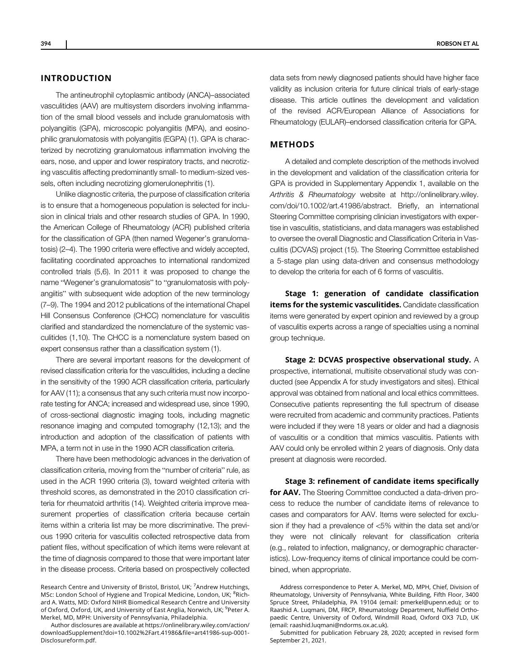# INTRODUCTION

The antineutrophil cytoplasmic antibody (ANCA)–associated vasculitides (AAV) are multisystem disorders involving inflammation of the small blood vessels and include granulomatosis with polyangiitis (GPA), microscopic polyangiitis (MPA), and eosinophilic granulomatosis with polyangiitis (EGPA) (1). GPA is characterized by necrotizing granulomatous inflammation involving the ears, nose, and upper and lower respiratory tracts, and necrotizing vasculitis affecting predominantly small- to medium-sized vessels, often including necrotizing glomerulonephritis (1).

Unlike diagnostic criteria, the purpose of classification criteria is to ensure that a homogeneous population is selected for inclusion in clinical trials and other research studies of GPA. In 1990, the American College of Rheumatology (ACR) published criteria for the classification of GPA (then named Wegener's granulomatosis) (2–4). The 1990 criteria were effective and widely accepted, facilitating coordinated approaches to international randomized controlled trials (5,6). In 2011 it was proposed to change the name "Wegener's granulomatosis" to "granulomatosis with polyangiitis" with subsequent wide adoption of the new terminology (7–9). The 1994 and 2012 publications of the international Chapel Hill Consensus Conference (CHCC) nomenclature for vasculitis clarified and standardized the nomenclature of the systemic vasculitides (1,10). The CHCC is a nomenclature system based on expert consensus rather than a classification system (1).

There are several important reasons for the development of revised classification criteria for the vasculitides, including a decline in the sensitivity of the 1990 ACR classification criteria, particularly for AAV (11); a consensus that any such criteria must now incorporate testing for ANCA; increased and widespread use, since 1990, of cross-sectional diagnostic imaging tools, including magnetic resonance imaging and computed tomography (12,13); and the introduction and adoption of the classification of patients with MPA, a term not in use in the 1990 ACR classification criteria.

There have been methodologic advances in the derivation of classification criteria, moving from the "number of criteria" rule, as used in the ACR 1990 criteria (3), toward weighted criteria with threshold scores, as demonstrated in the 2010 classification criteria for rheumatoid arthritis (14). Weighted criteria improve measurement properties of classification criteria because certain items within a criteria list may be more discriminative. The previous 1990 criteria for vasculitis collected retrospective data from patient files, without specification of which items were relevant at the time of diagnosis compared to those that were important later in the disease process. Criteria based on prospectively collected

Author disclosures are available at [https://onlinelibrary.wiley.com/action/](https://onlinelibrary.wiley.com/action/downloadSupplement?doi=10.1002%2Fart.41986&file=art41986-sup-0001-Disclosureform.pdf) [downloadSupplement?doi=10.1002%2Fart.41986&](https://onlinelibrary.wiley.com/action/downloadSupplement?doi=10.1002%2Fart.41986&file=art41986-sup-0001-Disclosureform.pdf)file=art41986-sup-0001- [Disclosureform.pdf.](https://onlinelibrary.wiley.com/action/downloadSupplement?doi=10.1002%2Fart.41986&file=art41986-sup-0001-Disclosureform.pdf)

data sets from newly diagnosed patients should have higher face validity as inclusion criteria for future clinical trials of early-stage disease. This article outlines the development and validation of the revised ACR/European Alliance of Associations for Rheumatology (EULAR)–endorsed classification criteria for GPA.

# METHODS

A detailed and complete description of the methods involved in the development and validation of the classification criteria for GPA is provided in Supplementary Appendix 1, available on the Arthritis & Rheumatology website at [http://onlinelibrary.wiley.](https://doi.org/10.1002/art.41986/abstract) [com/doi/10.1002/art.41986/abstract](https://doi.org/10.1002/art.41986/abstract). Briefly, an international Steering Committee comprising clinician investigators with expertise in vasculitis, statisticians, and data managers was established to oversee the overall Diagnostic and Classification Criteria in Vasculitis (DCVAS) project (15). The Steering Committee established a 5-stage plan using data-driven and consensus methodology to develop the criteria for each of 6 forms of vasculitis.

Stage 1: generation of candidate classification items for the systemic vasculitides. Candidate classification items were generated by expert opinion and reviewed by a group of vasculitis experts across a range of specialties using a nominal group technique.

Stage 2: DCVAS prospective observational study. A prospective, international, multisite observational study was conducted (see Appendix A for study investigators and sites). Ethical approval was obtained from national and local ethics committees. Consecutive patients representing the full spectrum of disease were recruited from academic and community practices. Patients were included if they were 18 years or older and had a diagnosis of vasculitis or a condition that mimics vasculitis. Patients with AAV could only be enrolled within 2 years of diagnosis. Only data present at diagnosis were recorded.

Stage 3: refinement of candidate items specifically for AAV. The Steering Committee conducted a data-driven process to reduce the number of candidate items of relevance to cases and comparators for AAV. Items were selected for exclusion if they had a prevalence of <5% within the data set and/or they were not clinically relevant for classification criteria (e.g., related to infection, malignancy, or demographic characteristics). Low-frequency items of clinical importance could be combined, when appropriate.

Research Centre and University of Bristol, Bristol, UK; <sup>7</sup>Andrew Hutchings, MSc: London School of Hygiene and Tropical Medicine, London, UK; <sup>8</sup>Richard A. Watts, MD: Oxford NIHR Biomedical Research Centre and University of Oxford, Oxford, UK, and University of East Anglia, Norwich, UK; <sup>9</sup>Peter A. Merkel, MD, MPH: University of Pennsylvania, Philadelphia.

Address correspondence to Peter A. Merkel, MD, MPH, Chief, Division of Rheumatology, University of Pennsylvania, White Building, Fifth Floor, 3400 Spruce Street, Philadelphia, PA 19104 (email: [pmerkel@upenn.edu](mailto:pmerkel@upenn.edu)); or to Raashid A. Luqmani, DM, FRCP, Rheumatology Department, Nuffield Orthopaedic Centre, University of Oxford, Windmill Road, Oxford OX3 7LD, UK (email: [raashid.luqmani@ndorms.ox.ac.uk\)](mailto:raashid.luqmani@ndorms.ox.ac.uk).

Submitted for publication February 28, 2020; accepted in revised form September 21, 2021.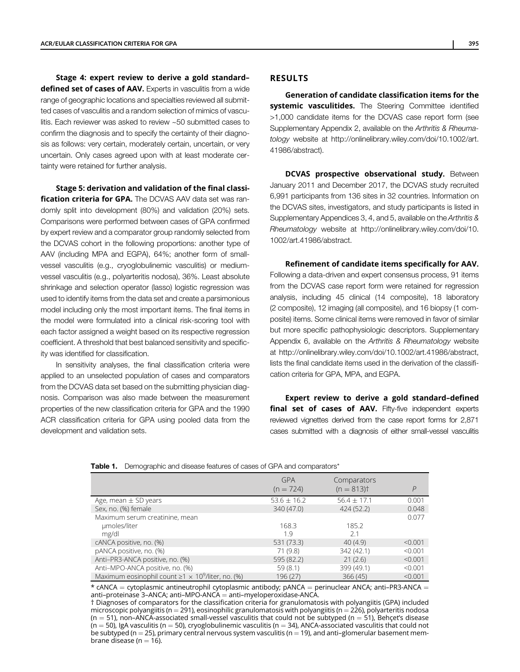Stage 4: expert review to derive a gold standard– defined set of cases of AAV. Experts in vasculitis from a wide range of geographic locations and specialties reviewed all submitted cases of vasculitis and a random selection of mimics of vasculitis. Each reviewer was asked to review ~50 submitted cases to confirm the diagnosis and to specify the certainty of their diagnosis as follows: very certain, moderately certain, uncertain, or very uncertain. Only cases agreed upon with at least moderate certainty were retained for further analysis.

Stage 5: derivation and validation of the final classification criteria for GPA. The DCVAS AAV data set was randomly split into development (80%) and validation (20%) sets. Comparisons were performed between cases of GPA confirmed by expert review and a comparator group randomly selected from the DCVAS cohort in the following proportions: another type of AAV (including MPA and EGPA), 64%; another form of smallvessel vasculitis (e.g., cryoglobulinemic vasculitis) or mediumvessel vasculitis (e.g., polyarteritis nodosa), 36%. Least absolute shrinkage and selection operator (lasso) logistic regression was used to identify items from the data set and create a parsimonious model including only the most important items. The final items in the model were formulated into a clinical risk-scoring tool with each factor assigned a weight based on its respective regression coefficient. A threshold that best balanced sensitivity and specificity was identified for classification.

In sensitivity analyses, the final classification criteria were applied to an unselected population of cases and comparators from the DCVAS data set based on the submitting physician diagnosis. Comparison was also made between the measurement properties of the new classification criteria for GPA and the 1990 ACR classification criteria for GPA using pooled data from the development and validation sets.

# RESULTS

Generation of candidate classification items for the systemic vasculitides. The Steering Committee identified >1,000 candidate items for the DCVAS case report form (see Supplementary Appendix 2, available on the Arthritis & Rheumatology website at [http://onlinelibrary.wiley.com/doi/10.1002/art.](https://doi.org/10.1002/art.41986/abstract) [41986/abstract](https://doi.org/10.1002/art.41986/abstract)).

**DCVAS prospective observational study.** Between January 2011 and December 2017, the DCVAS study recruited 6,991 participants from 136 sites in 32 countries. Information on the DCVAS sites, investigators, and study participants is listed in Supplementary Appendices 3, 4, and 5, available on the Arthritis & Rheumatology website at [http://onlinelibrary.wiley.com/doi/10.](https://doi.org/10.1002/art.41986/abstract) [1002/art.41986/abstract](https://doi.org/10.1002/art.41986/abstract).

Refinement of candidate items specifically for AAV. Following a data-driven and expert consensus process, 91 items from the DCVAS case report form were retained for regression analysis, including 45 clinical (14 composite), 18 laboratory (2 composite), 12 imaging (all composite), and 16 biopsy (1 composite) items. Some clinical items were removed in favor of similar but more specific pathophysiologic descriptors. Supplementary Appendix 6, available on the Arthritis & Rheumatology website at [http://onlinelibrary.wiley.com/doi/10.1002/art.41986/abstract,](https://doi.org/10.1002/art.41986/abstract) lists the final candidate items used in the derivation of the classification criteria for GPA, MPA, and EGPA.

Expert review to derive a gold standard–defined final set of cases of AAV. Fifty-five independent experts reviewed vignettes derived from the case report forms for 2,871 cases submitted with a diagnosis of either small-vessel vasculitis

| <b>Table 1.</b> Demographic and disease features of cases of GPA and comparators* |
|-----------------------------------------------------------------------------------|
|                                                                                   |

|                                                               | <b>GPA</b><br>$(n = 724)$ | Comparators<br>$(n = 813)$ | P       |
|---------------------------------------------------------------|---------------------------|----------------------------|---------|
| Age, mean $\pm$ SD years                                      | $53.6 \pm 16.2$           | $56.4 \pm 17.1$            | 0.001   |
| Sex, no. (%) female                                           | 340 (47.0)                | 424(52.2)                  | 0.048   |
| Maximum serum creatinine, mean<br>umoles/liter<br>mg/dl       | 168.3<br>1.9              | 185.2<br>21                | 0.077   |
| cANCA positive, no. (%)                                       | 531 (73.3)                | 40(4.9)                    | < 0.001 |
| pANCA positive, no. (%)                                       | 71 (9.8)                  | 342 (42.1)                 | < 0.001 |
| Anti-PR3-ANCA positive, no. (%)                               | 595 (82.2)                | 21(2.6)                    | < 0.001 |
| Anti-MPO-ANCA positive, no. (%)                               | 59(8.1)                   | 399 (49.1)                 | < 0.001 |
| Maximum eosinophil count $\geq 1 \times 10^9$ /liter, no. (%) | 196 (27)                  | 366(45)                    | < 0.001 |

 $*$  cANCA = cytoplasmic antineutrophil cytoplasmic antibody;  $p$ ANCA = perinuclear ANCA; anti–PR3-ANCA = anti–proteinase 3–ANCA; anti–MPO-ANCA = anti–myeloperoxidase-ANCA.

† Diagnoses of comparators for the classification criteria for granulomatosis with polyangiitis (GPA) included microscopic polyangiitis (n = 291), eosinophilic granulomatosis with polyangiitis (n = 226), polyarteritis nodosa  $(n = 51)$ , non-ANCA-associated small-vessel vasculitis that could not be subtyped  $(n = 51)$ , Behçet's disease  $(n = 50)$ , IgA vasculitis (n = 50), cryoglobulinemic vasculitis (n = 34), ANCA-associated vasculitis that could not be subtyped (n = 25), primary central nervous system vasculitis (n = 19), and anti-glomerular basement membrane disease ( $n = 16$ ).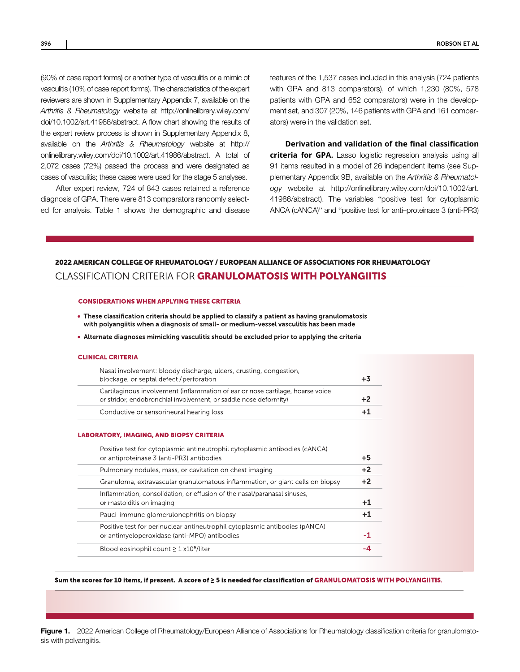(90% of case report forms) or another type of vasculitis or a mimic of vasculitis (10% of case report forms). The characteristics of the expert reviewers are shown in Supplementary Appendix 7, available on the Arthritis & Rheumatology website at [http://onlinelibrary.wiley.com/](https://doi.org/10.1002/art.41986/abstract) [doi/10.1002/art.41986/abstract](https://doi.org/10.1002/art.41986/abstract). A flow chart showing the results of the expert review process is shown in Supplementary Appendix 8, available on the Arthritis & Rheumatology website at [http://](https://doi.org/10.1002/art.41986/abstract) [onlinelibrary.wiley.com/doi/10.1002/art.41986/abstract](https://doi.org/10.1002/art.41986/abstract). A total of 2,072 cases (72%) passed the process and were designated as cases of vasculitis; these cases were used for the stage 5 analyses.

After expert review, 724 of 843 cases retained a reference diagnosis of GPA. There were 813 comparators randomly selected for analysis. Table 1 shows the demographic and disease features of the 1,537 cases included in this analysis (724 patients with GPA and 813 comparators), of which 1,230 (80%, 578 patients with GPA and 652 comparators) were in the development set, and 307 (20%, 146 patients with GPA and 161 comparators) were in the validation set.

Derivation and validation of the final classification criteria for GPA. Lasso logistic regression analysis using all 91 items resulted in a model of 26 independent items (see Supplementary Appendix 9B, available on the Arthritis & Rheumatology website at [http://onlinelibrary.wiley.com/doi/10.1002/art.](https://doi.org/10.1002/art.41986/abstract) [41986/abstract](https://doi.org/10.1002/art.41986/abstract)). The variables "positive test for cytoplasmic ANCA (cANCA)" and "positive test for anti–proteinase 3 (anti-PR3)

# 2022 AMERICAN COLLEGE OF RHEUMATOLOGY / EUROPEAN ALLIANCE OF ASSOCIATIONS FOR RHEUMATOLOGY **CLASSIFICATION CRITERIA FOR GRANULOMATOSIS WITH POLYANGIITIS**

#### **CONSIDERATIONS WHEN APPLYING THESE CRITERIA**

- These classification criteria should be applied to classify a patient as having granulomatosis with polyangiitis when a diagnosis of small- or medium-vessel vasculitis has been made
- Alternate diagnoses mimicking vasculitis should be excluded prior to applying the criteria

#### **CLINICAL CRITERIA**

| Nasal involvement: bloody discharge, ulcers, crusting, congestion,<br>blockage, or septal defect / perforation                                     |  |
|----------------------------------------------------------------------------------------------------------------------------------------------------|--|
| Cartilaginous involvement (inflammation of ear or nose cartilage, hoarse voice<br>or stridor, endobronchial involvement, or saddle nose deformity) |  |
| Conductive or sensorineural hearing loss                                                                                                           |  |
|                                                                                                                                                    |  |

#### **LABORATORY, IMAGING, AND BIOPSY CRITERIA**

| Positive test for cytoplasmic antineutrophil cytoplasmic antibodies (cANCA)<br>or antiproteinase 3 (anti-PR3) antibodies    | $+5$ |
|-----------------------------------------------------------------------------------------------------------------------------|------|
| Pulmonary nodules, mass, or cavitation on chest imaging                                                                     | $+2$ |
| Granuloma, extravascular granulomatous inflammation, or giant cells on biopsy                                               | $+2$ |
| Inflammation, consolidation, or effusion of the nasal/paranasal sinuses,<br>or mastoiditis on imaging                       |      |
| Pauci-immune glomerulonephritis on biopsy                                                                                   |      |
| Positive test for perinuclear antineutrophil cytoplasmic antibodies (pANCA)<br>or antimyeloperoxidase (anti-MPO) antibodies | -1   |
| Blood eosinophil count $\geq 1$ x10 <sup>9</sup> /liter                                                                     |      |

Sum the scores for 10 items, if present. A score of  $\geq$  5 is needed for classification of GRANULOMATOSIS WITH POLYANGIITIS.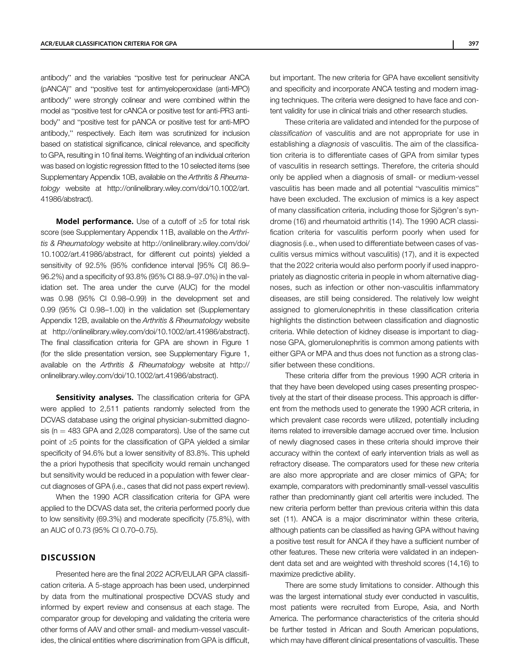antibody" and the variables "positive test for perinuclear ANCA (pANCA)" and "positive test for antimyeloperoxidase (anti-MPO) antibody" were strongly colinear and were combined within the model as "positive test for cANCA or positive test for anti-PR3 antibody" and "positive test for pANCA or positive test for anti-MPO antibody," respectively. Each item was scrutinized for inclusion based on statistical significance, clinical relevance, and specificity to GPA, resulting in 10 final items. Weighting of an individual criterion was based on logistic regression fitted to the 10 selected items (see Supplementary Appendix 10B, available on the Arthritis & Rheumatology website at [http://onlinelibrary.wiley.com/doi/10.1002/art.](https://doi.org/10.1002/art.41986/abstract) [41986/abstract](https://doi.org/10.1002/art.41986/abstract)).

**Model performance.** Use of a cutoff of  $\geq$ 5 for total risk score (see Supplementary Appendix 11B, available on the Arthritis & Rheumatology website at [http://onlinelibrary.wiley.com/doi/](https://doi.org/10.1002/art.41986/abstract) [10.1002/art.41986/abstract,](https://doi.org/10.1002/art.41986/abstract) for different cut points) yielded a sensitivity of 92.5% (95% confidence interval [95% CI] 86.9– 96.2%) and a specificity of 93.8% (95% CI 88.9–97.0%) in the validation set. The area under the curve (AUC) for the model was 0.98 (95% CI 0.98–0.99) in the development set and 0.99 (95% CI 0.98–1.00) in the validation set (Supplementary Appendix 12B, available on the Arthritis & Rheumatology website at [http://onlinelibrary.wiley.com/doi/10.1002/art.41986/abstract](https://doi.org/10.1002/art.41986/abstract)). The final classification criteria for GPA are shown in Figure 1 (for the slide presentation version, see Supplementary Figure 1, available on the Arthritis & Rheumatology website at [http://](https://doi.org/10.1002/art.41986/abstract) [onlinelibrary.wiley.com/doi/10.1002/art.41986/abstract\)](https://doi.org/10.1002/art.41986/abstract).

Sensitivity analyses. The classification criteria for GPA were applied to 2,511 patients randomly selected from the DCVAS database using the original physician-submitted diagnosis ( $n = 483$  GPA and 2,028 comparators). Use of the same cut point of ≥5 points for the classification of GPA yielded a similar specificity of 94.6% but a lower sensitivity of 83.8%. This upheld the a priori hypothesis that specificity would remain unchanged but sensitivity would be reduced in a population with fewer clearcut diagnoses of GPA (i.e., cases that did not pass expert review).

When the 1990 ACR classification criteria for GPA were applied to the DCVAS data set, the criteria performed poorly due to low sensitivity (69.3%) and moderate specificity (75.8%), with an AUC of 0.73 (95% CI 0.70–0.75).

### **DISCUSSION**

Presented here are the final 2022 ACR/EULAR GPA classification criteria. A 5-stage approach has been used, underpinned by data from the multinational prospective DCVAS study and informed by expert review and consensus at each stage. The comparator group for developing and validating the criteria were other forms of AAV and other small- and medium-vessel vasculitides, the clinical entities where discrimination from GPA is difficult,

but important. The new criteria for GPA have excellent sensitivity and specificity and incorporate ANCA testing and modern imaging techniques. The criteria were designed to have face and content validity for use in clinical trials and other research studies.

These criteria are validated and intended for the purpose of classification of vasculitis and are not appropriate for use in establishing a diagnosis of vasculitis. The aim of the classification criteria is to differentiate cases of GPA from similar types of vasculitis in research settings. Therefore, the criteria should only be applied when a diagnosis of small- or medium-vessel vasculitis has been made and all potential "vasculitis mimics" have been excluded. The exclusion of mimics is a key aspect of many classification criteria, including those for Sjögren's syndrome (16) and rheumatoid arthritis (14). The 1990 ACR classification criteria for vasculitis perform poorly when used for diagnosis (i.e., when used to differentiate between cases of vasculitis versus mimics without vasculitis) (17), and it is expected that the 2022 criteria would also perform poorly if used inappropriately as diagnostic criteria in people in whom alternative diagnoses, such as infection or other non-vasculitis inflammatory diseases, are still being considered. The relatively low weight assigned to glomerulonephritis in these classification criteria highlights the distinction between classification and diagnostic criteria. While detection of kidney disease is important to diagnose GPA, glomerulonephritis is common among patients with either GPA or MPA and thus does not function as a strong classifier between these conditions.

These criteria differ from the previous 1990 ACR criteria in that they have been developed using cases presenting prospectively at the start of their disease process. This approach is different from the methods used to generate the 1990 ACR criteria, in which prevalent case records were utilized, potentially including items related to irreversible damage accrued over time. Inclusion of newly diagnosed cases in these criteria should improve their accuracy within the context of early intervention trials as well as refractory disease. The comparators used for these new criteria are also more appropriate and are closer mimics of GPA; for example, comparators with predominantly small-vessel vasculitis rather than predominantly giant cell arteritis were included. The new criteria perform better than previous criteria within this data set (11). ANCA is a major discriminator within these criteria, although patients can be classified as having GPA without having a positive test result for ANCA if they have a sufficient number of other features. These new criteria were validated in an independent data set and are weighted with threshold scores (14,16) to maximize predictive ability.

There are some study limitations to consider. Although this was the largest international study ever conducted in vasculitis, most patients were recruited from Europe, Asia, and North America. The performance characteristics of the criteria should be further tested in African and South American populations, which may have different clinical presentations of vasculitis. These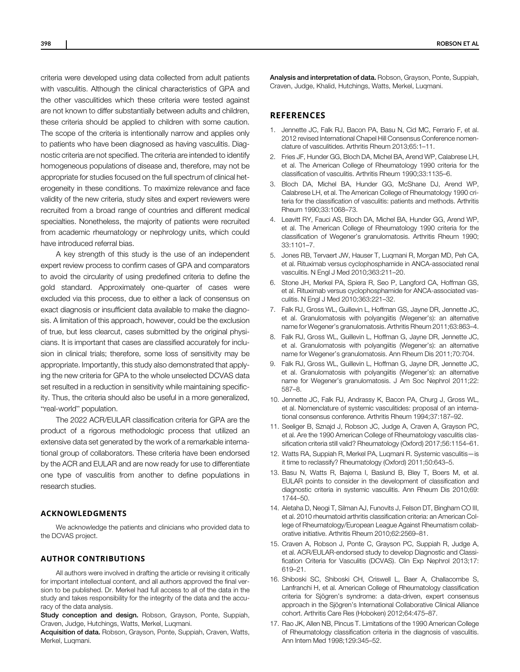criteria were developed using data collected from adult patients with vasculitis. Although the clinical characteristics of GPA and the other vasculitides which these criteria were tested against are not known to differ substantially between adults and children, these criteria should be applied to children with some caution. The scope of the criteria is intentionally narrow and applies only to patients who have been diagnosed as having vasculitis. Diagnostic criteria are not specified. The criteria are intended to identify homogeneous populations of disease and, therefore, may not be appropriate for studies focused on the full spectrum of clinical heterogeneity in these conditions. To maximize relevance and face validity of the new criteria, study sites and expert reviewers were recruited from a broad range of countries and different medical specialties. Nonetheless, the majority of patients were recruited from academic rheumatology or nephrology units, which could have introduced referral bias.

A key strength of this study is the use of an independent expert review process to confirm cases of GPA and comparators to avoid the circularity of using predefined criteria to define the gold standard. Approximately one-quarter of cases were excluded via this process, due to either a lack of consensus on exact diagnosis or insufficient data available to make the diagnosis. A limitation of this approach, however, could be the exclusion of true, but less clearcut, cases submitted by the original physicians. It is important that cases are classified accurately for inclusion in clinical trials; therefore, some loss of sensitivity may be appropriate. Importantly, this study also demonstrated that applying the new criteria for GPA to the whole unselected DCVAS data set resulted in a reduction in sensitivity while maintaining specificity. Thus, the criteria should also be useful in a more generalized, "real-world" population.

The 2022 ACR/EULAR classification criteria for GPA are the product of a rigorous methodologic process that utilized an extensive data set generated by the work of a remarkable international group of collaborators. These criteria have been endorsed by the ACR and EULAR and are now ready for use to differentiate one type of vasculitis from another to define populations in research studies.

# ACKNOWLEDGMENTS

We acknowledge the patients and clinicians who provided data to the DCVAS project.

# AUTHOR CONTRIBUTIONS

All authors were involved in drafting the article or revising it critically for important intellectual content, and all authors approved the final version to be published. Dr. Merkel had full access to all of the data in the study and takes responsibility for the integrity of the data and the accuracy of the data analysis.

Study conception and design. Robson, Grayson, Ponte, Suppiah, Craven, Judge, Hutchings, Watts, Merkel, Luqmani.

Acquisition of data. Robson, Grayson, Ponte, Suppiah, Craven, Watts, Merkel, Luqmani.

Analysis and interpretation of data. Robson, Grayson, Ponte, Suppiah, Craven, Judge, Khalid, Hutchings, Watts, Merkel, Luqmani.

# **REFERENCES**

- 1. Jennette JC, Falk RJ, Bacon PA, Basu N, Cid MC, Ferrario F, et al. 2012 revised International Chapel Hill Consensus Conference nomenclature of vasculitides. Arthritis Rheum 2013;65:1–11.
- 2. Fries JF, Hunder GG, Bloch DA, Michel BA, Arend WP, Calabrese LH, et al. The American College of Rheumatology 1990 criteria for the classification of vasculitis. Arthritis Rheum 1990;33:1135–6.
- 3. Bloch DA, Michel BA, Hunder GG, McShane DJ, Arend WP, Calabrese LH, et al. The American College of Rheumatology 1990 criteria for the classification of vasculitis: patients and methods. Arthritis Rheum 1990;33:1068–73.
- 4. Leavitt RY, Fauci AS, Bloch DA, Michel BA, Hunder GG, Arend WP, et al. The American College of Rheumatology 1990 criteria for the classification of Wegener's granulomatosis. Arthritis Rheum 1990; 33:1101–7.
- 5. Jones RB, Tervaert JW, Hauser T, Luqmani R, Morgan MD, Peh CA, et al. Rituximab versus cyclophosphamide in ANCA-associated renal vasculitis. N Engl J Med 2010;363:211–20.
- 6. Stone JH, Merkel PA, Spiera R, Seo P, Langford CA, Hoffman GS, et al. Rituximab versus cyclophosphamide for ANCA-associated vasculitis. N Engl J Med 2010;363:221–32.
- 7. Falk RJ, Gross WL, Guillevin L, Hoffman GS, Jayne DR, Jennette JC, et al. Granulomatosis with polyangiitis (Wegener's): an alternative name for Wegener's granulomatosis. Arthritis Rheum 2011;63:863–4.
- 8. Falk RJ, Gross WL, Guillevin L, Hoffman G, Jayne DR, Jennette JC, et al. Granulomatosis with polyangiitis (Wegener's): an alternative name for Wegener's granulomatosis. Ann Rheum Dis 2011;70:704.
- 9. Falk RJ, Gross WL, Guillevin L, Hoffman G, Jayne DR, Jennette JC, et al. Granulomatosis with polyangiitis (Wegener's): an alternative name for Wegener's granulomatosis. J Am Soc Nephrol 2011;22: 587–8.
- 10. Jennette JC, Falk RJ, Andrassy K, Bacon PA, Churg J, Gross WL, et al. Nomenclature of systemic vasculitides: proposal of an international consensus conference. Arthritis Rheum 1994;37:187–92.
- 11. Seeliger B, Sznajd J, Robson JC, Judge A, Craven A, Grayson PC, et al. Are the 1990 American College of Rheumatology vasculitis classification criteria still valid? Rheumatology (Oxford) 2017;56:1154–61.
- 12. Watts RA, Suppiah R, Merkel PA, Luqmani R. Systemic vasculitis—is it time to reclassify? Rheumatology (Oxford) 2011;50:643–5.
- 13. Basu N, Watts R, Bajema I, Baslund B, Bley T, Boers M, et al. EULAR points to consider in the development of classification and diagnostic criteria in systemic vasculitis. Ann Rheum Dis 2010;69: 1744–50.
- 14. Aletaha D, Neogi T, Silman AJ, Funovits J, Felson DT, Bingham CO III, et al. 2010 rheumatoid arthritis classification criteria: an American College of Rheumatology/European League Against Rheumatism collaborative initiative. Arthritis Rheum 2010;62:2569–81.
- 15. Craven A, Robson J, Ponte C, Grayson PC, Suppiah R, Judge A, et al. ACR/EULAR-endorsed study to develop Diagnostic and Classification Criteria for Vasculitis (DCVAS). Clin Exp Nephrol 2013;17: 619–21.
- 16. Shiboski SC, Shiboski CH, Criswell L, Baer A, Challacombe S, Lanfranchi H, et al. American College of Rheumatology classification criteria for Sjögren's syndrome: a data-driven, expert consensus approach in the Sjögren's International Collaborative Clinical Alliance cohort. Arthritis Care Res (Hoboken) 2012;64:475–87.
- 17. Rao JK, Allen NB, Pincus T. Limitations of the 1990 American College of Rheumatology classification criteria in the diagnosis of vasculitis. Ann Intern Med 1998;129:345–52.